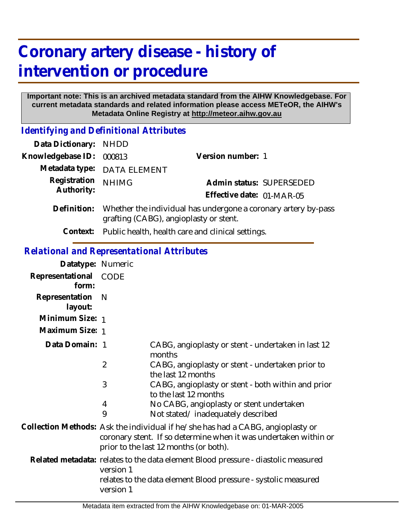# **Coronary artery disease - history of intervention or procedure**

#### **Important note: This is an archived metadata standard from the AIHW Knowledgebase. For current metadata standards and related information please access METeOR, the AIHW's Metadata Online Registry at http://meteor.aihw.gov.au**

*Identifying and Definitional Attributes*

| Data Dictionary: NHDD      |                                                                                                          |                           |                          |
|----------------------------|----------------------------------------------------------------------------------------------------------|---------------------------|--------------------------|
| Knowledgebase ID:          | 000813                                                                                                   | Version number: 1         |                          |
|                            | Metadata type: DATA ELEMENT                                                                              |                           |                          |
| Registration<br>Authority: | <b>NHIMG</b>                                                                                             |                           | Admin status: SUPERSEDED |
|                            |                                                                                                          | Effective date: 01-MAR-05 |                          |
| Definition:                | Whether the individual has undergone a coronary artery by-pass<br>grafting (CABG), angioplasty or stent. |                           |                          |
|                            | Context: Public health, health care and clinical settings.                                               |                           |                          |

#### *Relational and Representational Attributes*

| Datatype: Numeric         |                                                                                                                                                                                               |                                                                                   |
|---------------------------|-----------------------------------------------------------------------------------------------------------------------------------------------------------------------------------------------|-----------------------------------------------------------------------------------|
| Representational<br>form: | CODE                                                                                                                                                                                          |                                                                                   |
| Representation<br>layout: | - N                                                                                                                                                                                           |                                                                                   |
| Minimum Size: 1           |                                                                                                                                                                                               |                                                                                   |
| Maximum Size: 1           |                                                                                                                                                                                               |                                                                                   |
| Data Domain: 1            |                                                                                                                                                                                               | CABG, angioplasty or stent - undertaken in last 12<br>months                      |
|                           | $\overline{2}$                                                                                                                                                                                | CABG, angioplasty or stent - undertaken prior to<br>the last 12 months            |
|                           | 3                                                                                                                                                                                             | CABG, angioplasty or stent - both within and prior<br>to the last 12 months       |
|                           | 4                                                                                                                                                                                             | No CABG, angioplasty or stent undertaken                                          |
|                           | 9                                                                                                                                                                                             | Not stated/inadequately described                                                 |
|                           | Collection Methods: Ask the individual if he/she has had a CABG, angioplasty or<br>coronary stent. If so determine when it was undertaken within or<br>prior to the last 12 months (or both). |                                                                                   |
|                           | version 1                                                                                                                                                                                     | Related metadata: relates to the data element Blood pressure - diastolic measured |
|                           | version 1                                                                                                                                                                                     | relates to the data element Blood pressure - systolic measured                    |